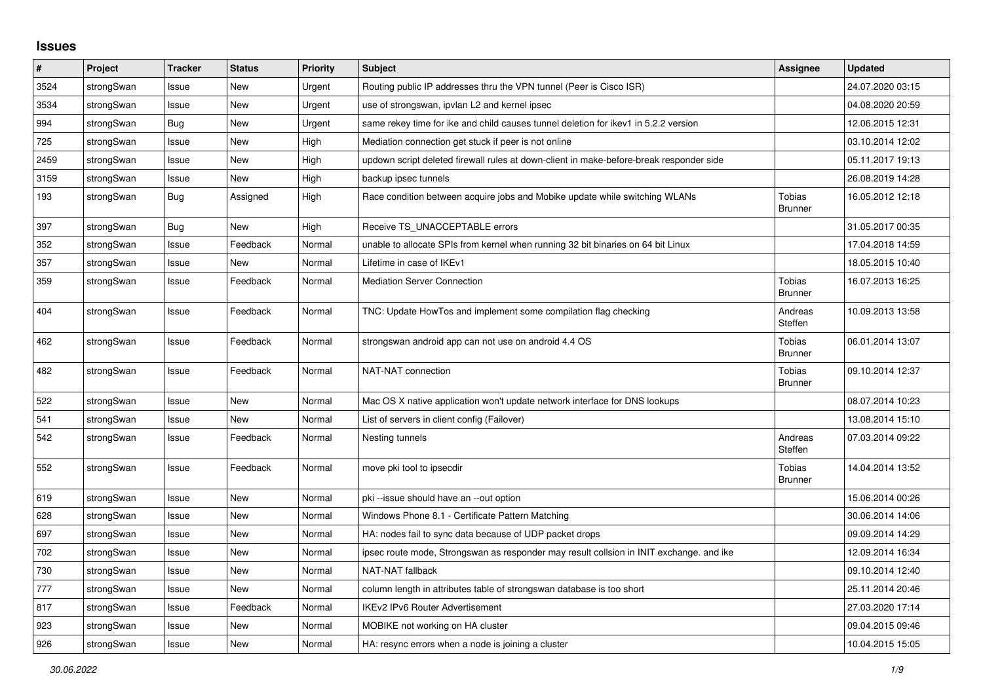## **Issues**

| #    | Project    | <b>Tracker</b> | <b>Status</b> | Priority | <b>Subject</b>                                                                          | <b>Assignee</b>                 | <b>Updated</b>   |
|------|------------|----------------|---------------|----------|-----------------------------------------------------------------------------------------|---------------------------------|------------------|
| 3524 | strongSwan | Issue          | <b>New</b>    | Urgent   | Routing public IP addresses thru the VPN tunnel (Peer is Cisco ISR)                     |                                 | 24.07.2020 03:15 |
| 3534 | strongSwan | Issue          | <b>New</b>    | Urgent   | use of strongswan, ipvlan L2 and kernel ipsec                                           |                                 | 04.08.2020 20:59 |
| 994  | strongSwan | Bug            | <b>New</b>    | Urgent   | same rekey time for ike and child causes tunnel deletion for ikev1 in 5.2.2 version     |                                 | 12.06.2015 12:31 |
| 725  | strongSwan | Issue          | New           | High     | Mediation connection get stuck if peer is not online                                    |                                 | 03.10.2014 12:02 |
| 2459 | strongSwan | Issue          | <b>New</b>    | High     | updown script deleted firewall rules at down-client in make-before-break responder side |                                 | 05.11.2017 19:13 |
| 3159 | strongSwan | Issue          | New           | High     | backup ipsec tunnels                                                                    |                                 | 26.08.2019 14:28 |
| 193  | strongSwan | Bug            | Assigned      | High     | Race condition between acquire jobs and Mobike update while switching WLANs             | <b>Tobias</b><br><b>Brunner</b> | 16.05.2012 12:18 |
| 397  | strongSwan | Bug            | New           | High     | Receive TS_UNACCEPTABLE errors                                                          |                                 | 31.05.2017 00:35 |
| 352  | strongSwan | Issue          | Feedback      | Normal   | unable to allocate SPIs from kernel when running 32 bit binaries on 64 bit Linux        |                                 | 17.04.2018 14:59 |
| 357  | strongSwan | Issue          | New           | Normal   | Lifetime in case of IKEv1                                                               |                                 | 18.05.2015 10:40 |
| 359  | strongSwan | Issue          | Feedback      | Normal   | <b>Mediation Server Connection</b>                                                      | Tobias<br><b>Brunner</b>        | 16.07.2013 16:25 |
| 404  | strongSwan | Issue          | Feedback      | Normal   | TNC: Update HowTos and implement some compilation flag checking                         | Andreas<br>Steffen              | 10.09.2013 13:58 |
| 462  | strongSwan | Issue          | Feedback      | Normal   | strongswan android app can not use on android 4.4 OS                                    | Tobias<br><b>Brunner</b>        | 06.01.2014 13:07 |
| 482  | strongSwan | Issue          | Feedback      | Normal   | NAT-NAT connection                                                                      | Tobias<br><b>Brunner</b>        | 09.10.2014 12:37 |
| 522  | strongSwan | Issue          | <b>New</b>    | Normal   | Mac OS X native application won't update network interface for DNS lookups              |                                 | 08.07.2014 10:23 |
| 541  | strongSwan | Issue          | <b>New</b>    | Normal   | List of servers in client config (Failover)                                             |                                 | 13.08.2014 15:10 |
| 542  | strongSwan | Issue          | Feedback      | Normal   | Nesting tunnels                                                                         | Andreas<br>Steffen              | 07.03.2014 09:22 |
| 552  | strongSwan | Issue          | Feedback      | Normal   | move pki tool to ipsecdir                                                               | <b>Tobias</b><br><b>Brunner</b> | 14.04.2014 13:52 |
| 619  | strongSwan | Issue          | New           | Normal   | pki-issue should have an --out option                                                   |                                 | 15.06.2014 00:26 |
| 628  | strongSwan | Issue          | <b>New</b>    | Normal   | Windows Phone 8.1 - Certificate Pattern Matching                                        |                                 | 30.06.2014 14:06 |
| 697  | strongSwan | Issue          | <b>New</b>    | Normal   | HA: nodes fail to sync data because of UDP packet drops                                 |                                 | 09.09.2014 14:29 |
| 702  | strongSwan | Issue          | <b>New</b>    | Normal   | ipsec route mode, Strongswan as responder may result collsion in INIT exchange. and ike |                                 | 12.09.2014 16:34 |
| 730  | strongSwan | Issue          | <b>New</b>    | Normal   | NAT-NAT fallback                                                                        |                                 | 09.10.2014 12:40 |
| 777  | strongSwan | Issue          | New           | Normal   | column length in attributes table of strongswan database is too short                   |                                 | 25.11.2014 20:46 |
| 817  | strongSwan | Issue          | Feedback      | Normal   | <b>IKEv2 IPv6 Router Advertisement</b>                                                  |                                 | 27.03.2020 17:14 |
| 923  | strongSwan | Issue          | New           | Normal   | MOBIKE not working on HA cluster                                                        |                                 | 09.04.2015 09:46 |
| 926  | strongSwan | Issue          | New           | Normal   | HA: resync errors when a node is joining a cluster                                      |                                 | 10.04.2015 15:05 |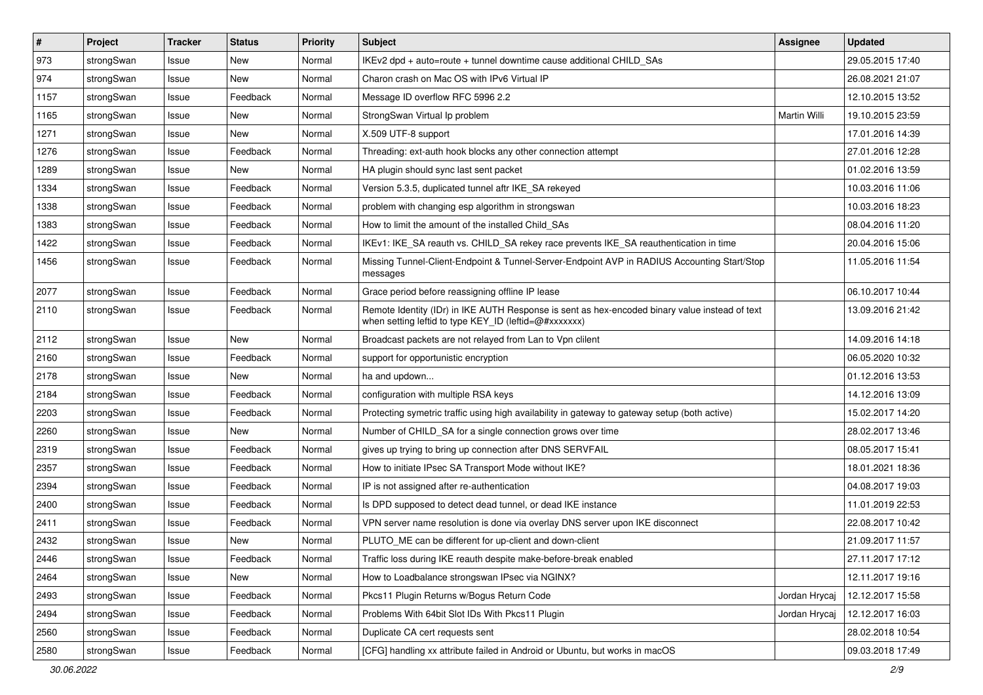| $\sharp$ | Project    | <b>Tracker</b> | <b>Status</b> | <b>Priority</b> | <b>Subject</b>                                                                                                                                          | Assignee      | <b>Updated</b>   |
|----------|------------|----------------|---------------|-----------------|---------------------------------------------------------------------------------------------------------------------------------------------------------|---------------|------------------|
| 973      | strongSwan | Issue          | New           | Normal          | IKEv2 dpd + auto=route + tunnel downtime cause additional CHILD_SAs                                                                                     |               | 29.05.2015 17:40 |
| 974      | strongSwan | Issue          | <b>New</b>    | Normal          | Charon crash on Mac OS with IPv6 Virtual IP                                                                                                             |               | 26.08.2021 21:07 |
| 1157     | strongSwan | Issue          | Feedback      | Normal          | Message ID overflow RFC 5996 2.2                                                                                                                        |               | 12.10.2015 13:52 |
| 1165     | strongSwan | Issue          | New           | Normal          | StrongSwan Virtual Ip problem                                                                                                                           | Martin Willi  | 19.10.2015 23:59 |
| 1271     | strongSwan | Issue          | <b>New</b>    | Normal          | X.509 UTF-8 support                                                                                                                                     |               | 17.01.2016 14:39 |
| 1276     | strongSwan | Issue          | Feedback      | Normal          | Threading: ext-auth hook blocks any other connection attempt                                                                                            |               | 27.01.2016 12:28 |
| 1289     | strongSwan | Issue          | New           | Normal          | HA plugin should sync last sent packet                                                                                                                  |               | 01.02.2016 13:59 |
| 1334     | strongSwan | Issue          | Feedback      | Normal          | Version 5.3.5, duplicated tunnel aftr IKE SA rekeyed                                                                                                    |               | 10.03.2016 11:06 |
| 1338     | strongSwan | Issue          | Feedback      | Normal          | problem with changing esp algorithm in strongswan                                                                                                       |               | 10.03.2016 18:23 |
| 1383     | strongSwan | Issue          | Feedback      | Normal          | How to limit the amount of the installed Child_SAs                                                                                                      |               | 08.04.2016 11:20 |
| 1422     | strongSwan | Issue          | Feedback      | Normal          | IKEv1: IKE_SA reauth vs. CHILD_SA rekey race prevents IKE_SA reauthentication in time                                                                   |               | 20.04.2016 15:06 |
| 1456     | strongSwan | Issue          | Feedback      | Normal          | Missing Tunnel-Client-Endpoint & Tunnel-Server-Endpoint AVP in RADIUS Accounting Start/Stop<br>messages                                                 |               | 11.05.2016 11:54 |
| 2077     | strongSwan | Issue          | Feedback      | Normal          | Grace period before reassigning offline IP lease                                                                                                        |               | 06.10.2017 10:44 |
| 2110     | strongSwan | Issue          | Feedback      | Normal          | Remote Identity (IDr) in IKE AUTH Response is sent as hex-encoded binary value instead of text<br>when setting leftid to type KEY_ID (leftid=@#xxxxxxx) |               | 13.09.2016 21:42 |
| 2112     | strongSwan | Issue          | <b>New</b>    | Normal          | Broadcast packets are not relayed from Lan to Vpn clilent                                                                                               |               | 14.09.2016 14:18 |
| 2160     | strongSwan | Issue          | Feedback      | Normal          | support for opportunistic encryption                                                                                                                    |               | 06.05.2020 10:32 |
| 2178     | strongSwan | Issue          | New           | Normal          | ha and updown                                                                                                                                           |               | 01.12.2016 13:53 |
| 2184     | strongSwan | Issue          | Feedback      | Normal          | configuration with multiple RSA keys                                                                                                                    |               | 14.12.2016 13:09 |
| 2203     | strongSwan | Issue          | Feedback      | Normal          | Protecting symetric traffic using high availability in gateway to gateway setup (both active)                                                           |               | 15.02.2017 14:20 |
| 2260     | strongSwan | Issue          | New           | Normal          | Number of CHILD_SA for a single connection grows over time                                                                                              |               | 28.02.2017 13:46 |
| 2319     | strongSwan | Issue          | Feedback      | Normal          | gives up trying to bring up connection after DNS SERVFAIL                                                                                               |               | 08.05.2017 15:41 |
| 2357     | strongSwan | Issue          | Feedback      | Normal          | How to initiate IPsec SA Transport Mode without IKE?                                                                                                    |               | 18.01.2021 18:36 |
| 2394     | strongSwan | Issue          | Feedback      | Normal          | IP is not assigned after re-authentication                                                                                                              |               | 04.08.2017 19:03 |
| 2400     | strongSwan | Issue          | Feedback      | Normal          | Is DPD supposed to detect dead tunnel, or dead IKE instance                                                                                             |               | 11.01.2019 22:53 |
| 2411     | strongSwan | Issue          | Feedback      | Normal          | VPN server name resolution is done via overlay DNS server upon IKE disconnect                                                                           |               | 22.08.2017 10:42 |
| 2432     | strongSwan | Issue          | New           | Normal          | PLUTO_ME can be different for up-client and down-client                                                                                                 |               | 21.09.2017 11:57 |
| 2446     | strongSwan | Issue          | Feedback      | Normal          | Traffic loss during IKE reauth despite make-before-break enabled                                                                                        |               | 27.11.2017 17:12 |
| 2464     | strongSwan | Issue          | New           | Normal          | How to Loadbalance strongswan IPsec via NGINX?                                                                                                          |               | 12.11.2017 19:16 |
| 2493     | strongSwan | Issue          | Feedback      | Normal          | Pkcs11 Plugin Returns w/Bogus Return Code                                                                                                               | Jordan Hrycaj | 12.12.2017 15:58 |
| 2494     | strongSwan | Issue          | Feedback      | Normal          | Problems With 64bit Slot IDs With Pkcs11 Plugin                                                                                                         | Jordan Hrycaj | 12.12.2017 16:03 |
| 2560     | strongSwan | Issue          | Feedback      | Normal          | Duplicate CA cert requests sent                                                                                                                         |               | 28.02.2018 10:54 |
| 2580     | strongSwan | Issue          | Feedback      | Normal          | [CFG] handling xx attribute failed in Android or Ubuntu, but works in macOS                                                                             |               | 09.03.2018 17:49 |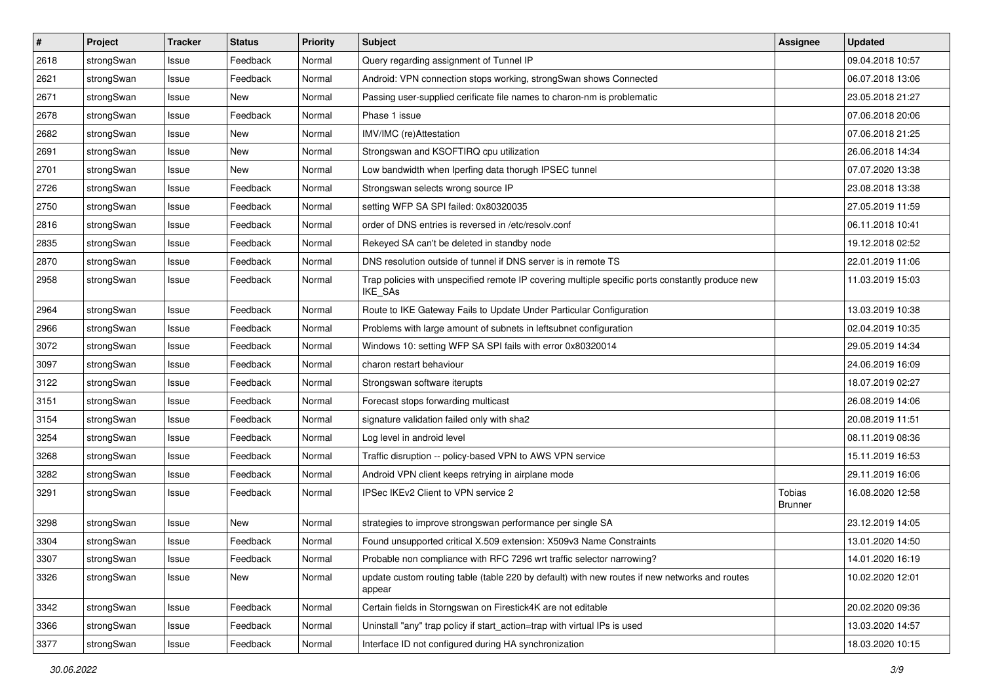| $\pmb{\#}$ | Project    | <b>Tracker</b> | <b>Status</b> | <b>Priority</b> | <b>Subject</b>                                                                                                     | <b>Assignee</b>                 | <b>Updated</b>   |
|------------|------------|----------------|---------------|-----------------|--------------------------------------------------------------------------------------------------------------------|---------------------------------|------------------|
| 2618       | strongSwan | Issue          | Feedback      | Normal          | Query regarding assignment of Tunnel IP                                                                            |                                 | 09.04.2018 10:57 |
| 2621       | strongSwan | Issue          | Feedback      | Normal          | Android: VPN connection stops working, strongSwan shows Connected                                                  |                                 | 06.07.2018 13:06 |
| 2671       | strongSwan | Issue          | New           | Normal          | Passing user-supplied cerificate file names to charon-nm is problematic                                            |                                 | 23.05.2018 21:27 |
| 2678       | strongSwan | Issue          | Feedback      | Normal          | Phase 1 issue                                                                                                      |                                 | 07.06.2018 20:06 |
| 2682       | strongSwan | Issue          | New           | Normal          | IMV/IMC (re)Attestation                                                                                            |                                 | 07.06.2018 21:25 |
| 2691       | strongSwan | Issue          | New           | Normal          | Strongswan and KSOFTIRQ cpu utilization                                                                            |                                 | 26.06.2018 14:34 |
| 2701       | strongSwan | Issue          | New           | Normal          | Low bandwidth when Iperfing data thorugh IPSEC tunnel                                                              |                                 | 07.07.2020 13:38 |
| 2726       | strongSwan | Issue          | Feedback      | Normal          | Strongswan selects wrong source IP                                                                                 |                                 | 23.08.2018 13:38 |
| 2750       | strongSwan | Issue          | Feedback      | Normal          | setting WFP SA SPI failed: 0x80320035                                                                              |                                 | 27.05.2019 11:59 |
| 2816       | strongSwan | Issue          | Feedback      | Normal          | order of DNS entries is reversed in /etc/resolv.conf                                                               |                                 | 06.11.2018 10:41 |
| 2835       | strongSwan | Issue          | Feedback      | Normal          | Rekeyed SA can't be deleted in standby node                                                                        |                                 | 19.12.2018 02:52 |
| 2870       | strongSwan | Issue          | Feedback      | Normal          | DNS resolution outside of tunnel if DNS server is in remote TS                                                     |                                 | 22.01.2019 11:06 |
| 2958       | strongSwan | Issue          | Feedback      | Normal          | Trap policies with unspecified remote IP covering multiple specific ports constantly produce new<br><b>IKE SAs</b> |                                 | 11.03.2019 15:03 |
| 2964       | strongSwan | Issue          | Feedback      | Normal          | Route to IKE Gateway Fails to Update Under Particular Configuration                                                |                                 | 13.03.2019 10:38 |
| 2966       | strongSwan | Issue          | Feedback      | Normal          | Problems with large amount of subnets in leftsubnet configuration                                                  |                                 | 02.04.2019 10:35 |
| 3072       | strongSwan | Issue          | Feedback      | Normal          | Windows 10: setting WFP SA SPI fails with error 0x80320014                                                         |                                 | 29.05.2019 14:34 |
| 3097       | strongSwan | Issue          | Feedback      | Normal          | charon restart behaviour                                                                                           |                                 | 24.06.2019 16:09 |
| 3122       | strongSwan | Issue          | Feedback      | Normal          | Strongswan software iterupts                                                                                       |                                 | 18.07.2019 02:27 |
| 3151       | strongSwan | Issue          | Feedback      | Normal          | Forecast stops forwarding multicast                                                                                |                                 | 26.08.2019 14:06 |
| 3154       | strongSwan | Issue          | Feedback      | Normal          | signature validation failed only with sha2                                                                         |                                 | 20.08.2019 11:51 |
| 3254       | strongSwan | Issue          | Feedback      | Normal          | Log level in android level                                                                                         |                                 | 08.11.2019 08:36 |
| 3268       | strongSwan | Issue          | Feedback      | Normal          | Traffic disruption -- policy-based VPN to AWS VPN service                                                          |                                 | 15.11.2019 16:53 |
| 3282       | strongSwan | Issue          | Feedback      | Normal          | Android VPN client keeps retrying in airplane mode                                                                 |                                 | 29.11.2019 16:06 |
| 3291       | strongSwan | Issue          | Feedback      | Normal          | IPSec IKEv2 Client to VPN service 2                                                                                | <b>Tobias</b><br><b>Brunner</b> | 16.08.2020 12:58 |
| 3298       | strongSwan | Issue          | <b>New</b>    | Normal          | strategies to improve strongswan performance per single SA                                                         |                                 | 23.12.2019 14:05 |
| 3304       | strongSwan | Issue          | Feedback      | Normal          | Found unsupported critical X.509 extension: X509v3 Name Constraints                                                |                                 | 13.01.2020 14:50 |
| 3307       | strongSwan | Issue          | Feedback      | Normal          | Probable non compliance with RFC 7296 wrt traffic selector narrowing?                                              |                                 | 14.01.2020 16:19 |
| 3326       | strongSwan | Issue          | New           | Normal          | update custom routing table (table 220 by default) with new routes if new networks and routes<br>appear            |                                 | 10.02.2020 12:01 |
| 3342       | strongSwan | Issue          | Feedback      | Normal          | Certain fields in Storngswan on Firestick4K are not editable                                                       |                                 | 20.02.2020 09:36 |
| 3366       | strongSwan | Issue          | Feedback      | Normal          | Uninstall "any" trap policy if start action=trap with virtual IPs is used                                          |                                 | 13.03.2020 14:57 |
| 3377       | strongSwan | Issue          | Feedback      | Normal          | Interface ID not configured during HA synchronization                                                              |                                 | 18.03.2020 10:15 |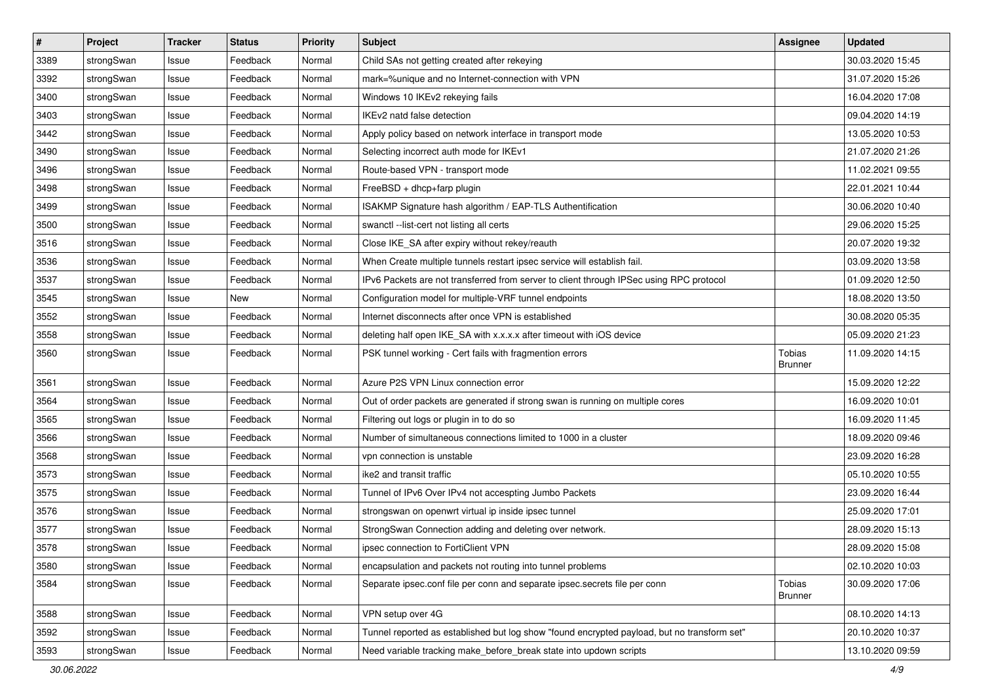| $\pmb{\#}$ | Project    | <b>Tracker</b> | <b>Status</b> | <b>Priority</b> | <b>Subject</b>                                                                              | Assignee                 | <b>Updated</b>   |
|------------|------------|----------------|---------------|-----------------|---------------------------------------------------------------------------------------------|--------------------------|------------------|
| 3389       | strongSwan | Issue          | Feedback      | Normal          | Child SAs not getting created after rekeying                                                |                          | 30.03.2020 15:45 |
| 3392       | strongSwan | Issue          | Feedback      | Normal          | mark=%unique and no Internet-connection with VPN                                            |                          | 31.07.2020 15:26 |
| 3400       | strongSwan | Issue          | Feedback      | Normal          | Windows 10 IKEv2 rekeying fails                                                             |                          | 16.04.2020 17:08 |
| 3403       | strongSwan | Issue          | Feedback      | Normal          | IKEv2 natd false detection                                                                  |                          | 09.04.2020 14:19 |
| 3442       | strongSwan | Issue          | Feedback      | Normal          | Apply policy based on network interface in transport mode                                   |                          | 13.05.2020 10:53 |
| 3490       | strongSwan | Issue          | Feedback      | Normal          | Selecting incorrect auth mode for IKEv1                                                     |                          | 21.07.2020 21:26 |
| 3496       | strongSwan | Issue          | Feedback      | Normal          | Route-based VPN - transport mode                                                            |                          | 11.02.2021 09:55 |
| 3498       | strongSwan | Issue          | Feedback      | Normal          | FreeBSD + dhcp+farp plugin                                                                  |                          | 22.01.2021 10:44 |
| 3499       | strongSwan | Issue          | Feedback      | Normal          | ISAKMP Signature hash algorithm / EAP-TLS Authentification                                  |                          | 30.06.2020 10:40 |
| 3500       | strongSwan | Issue          | Feedback      | Normal          | swanctl --list-cert not listing all certs                                                   |                          | 29.06.2020 15:25 |
| 3516       | strongSwan | Issue          | Feedback      | Normal          | Close IKE_SA after expiry without rekey/reauth                                              |                          | 20.07.2020 19:32 |
| 3536       | strongSwan | Issue          | Feedback      | Normal          | When Create multiple tunnels restart ipsec service will establish fail.                     |                          | 03.09.2020 13:58 |
| 3537       | strongSwan | Issue          | Feedback      | Normal          | IPv6 Packets are not transferred from server to client through IPSec using RPC protocol     |                          | 01.09.2020 12:50 |
| 3545       | strongSwan | lssue          | New           | Normal          | Configuration model for multiple-VRF tunnel endpoints                                       |                          | 18.08.2020 13:50 |
| 3552       | strongSwan | Issue          | Feedback      | Normal          | Internet disconnects after once VPN is established                                          |                          | 30.08.2020 05:35 |
| 3558       | strongSwan | Issue          | Feedback      | Normal          | deleting half open IKE_SA with x.x.x.x after timeout with iOS device                        |                          | 05.09.2020 21:23 |
| 3560       | strongSwan | Issue          | Feedback      | Normal          | PSK tunnel working - Cert fails with fragmention errors                                     | Tobias<br><b>Brunner</b> | 11.09.2020 14:15 |
| 3561       | strongSwan | Issue          | Feedback      | Normal          | Azure P2S VPN Linux connection error                                                        |                          | 15.09.2020 12:22 |
| 3564       | strongSwan | Issue          | Feedback      | Normal          | Out of order packets are generated if strong swan is running on multiple cores              |                          | 16.09.2020 10:01 |
| 3565       | strongSwan | Issue          | Feedback      | Normal          | Filtering out logs or plugin in to do so                                                    |                          | 16.09.2020 11:45 |
| 3566       | strongSwan | lssue          | Feedback      | Normal          | Number of simultaneous connections limited to 1000 in a cluster                             |                          | 18.09.2020 09:46 |
| 3568       | strongSwan | Issue          | Feedback      | Normal          | vpn connection is unstable                                                                  |                          | 23.09.2020 16:28 |
| 3573       | strongSwan | Issue          | Feedback      | Normal          | ike2 and transit traffic                                                                    |                          | 05.10.2020 10:55 |
| 3575       | strongSwan | Issue          | Feedback      | Normal          | Tunnel of IPv6 Over IPv4 not accespting Jumbo Packets                                       |                          | 23.09.2020 16:44 |
| 3576       | strongSwan | Issue          | Feedback      | Normal          | strongswan on openwrt virtual ip inside ipsec tunnel                                        |                          | 25.09.2020 17:01 |
| 3577       | strongSwan | Issue          | Feedback      | Normal          | StrongSwan Connection adding and deleting over network.                                     |                          | 28.09.2020 15:13 |
| 3578       | strongSwan | Issue          | Feedback      | Normal          | ipsec connection to FortiClient VPN                                                         |                          | 28.09.2020 15:08 |
| 3580       | strongSwan | Issue          | Feedback      | Normal          | encapsulation and packets not routing into tunnel problems                                  |                          | 02.10.2020 10:03 |
| 3584       | strongSwan | Issue          | Feedback      | Normal          | Separate ipsec.conf file per conn and separate ipsec.secrets file per conn                  | Tobias<br><b>Brunner</b> | 30.09.2020 17:06 |
| 3588       | strongSwan | Issue          | Feedback      | Normal          | VPN setup over 4G                                                                           |                          | 08.10.2020 14:13 |
| 3592       | strongSwan | Issue          | Feedback      | Normal          | Tunnel reported as established but log show "found encrypted payload, but no transform set" |                          | 20.10.2020 10:37 |
| 3593       | strongSwan | Issue          | Feedback      | Normal          | Need variable tracking make_before_break state into updown scripts                          |                          | 13.10.2020 09:59 |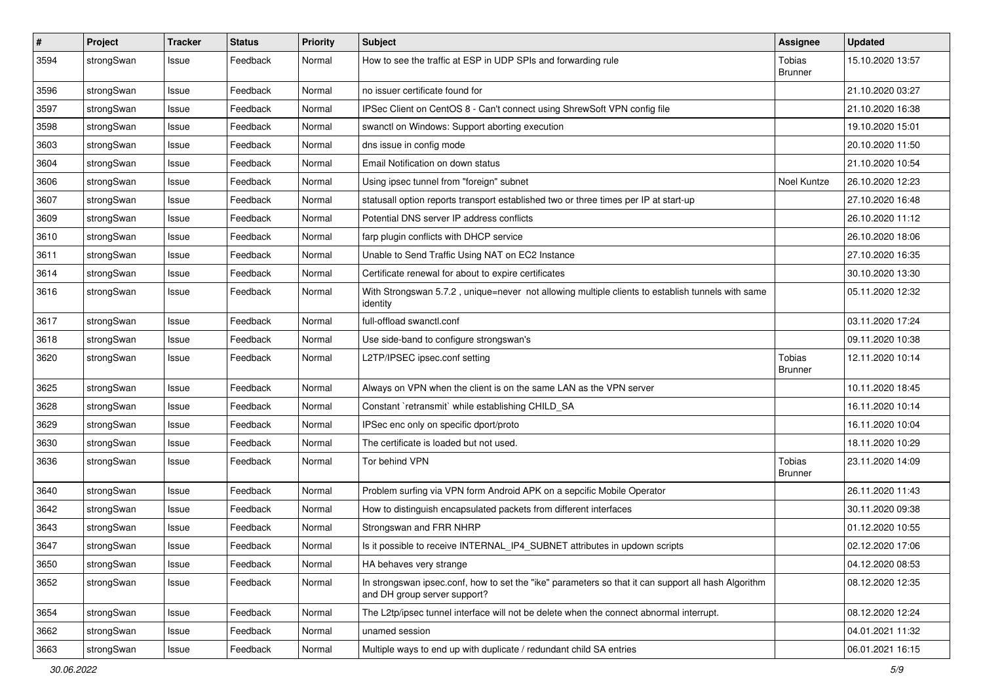| $\pmb{\#}$ | Project    | <b>Tracker</b> | <b>Status</b> | <b>Priority</b> | <b>Subject</b>                                                                                                                      | <b>Assignee</b>                 | <b>Updated</b>   |
|------------|------------|----------------|---------------|-----------------|-------------------------------------------------------------------------------------------------------------------------------------|---------------------------------|------------------|
| 3594       | strongSwan | Issue          | Feedback      | Normal          | How to see the traffic at ESP in UDP SPIs and forwarding rule                                                                       | Tobias<br><b>Brunner</b>        | 15.10.2020 13:57 |
| 3596       | strongSwan | Issue          | Feedback      | Normal          | no issuer certificate found for                                                                                                     |                                 | 21.10.2020 03:27 |
| 3597       | strongSwan | Issue          | Feedback      | Normal          | IPSec Client on CentOS 8 - Can't connect using ShrewSoft VPN config file                                                            |                                 | 21.10.2020 16:38 |
| 3598       | strongSwan | Issue          | Feedback      | Normal          | swanctl on Windows: Support aborting execution                                                                                      |                                 | 19.10.2020 15:01 |
| 3603       | strongSwan | Issue          | Feedback      | Normal          | dns issue in config mode                                                                                                            |                                 | 20.10.2020 11:50 |
| 3604       | strongSwan | Issue          | Feedback      | Normal          | Email Notification on down status                                                                                                   |                                 | 21.10.2020 10:54 |
| 3606       | strongSwan | Issue          | Feedback      | Normal          | Using ipsec tunnel from "foreign" subnet                                                                                            | Noel Kuntze                     | 26.10.2020 12:23 |
| 3607       | strongSwan | Issue          | Feedback      | Normal          | statusall option reports transport established two or three times per IP at start-up                                                |                                 | 27.10.2020 16:48 |
| 3609       | strongSwan | Issue          | Feedback      | Normal          | Potential DNS server IP address conflicts                                                                                           |                                 | 26.10.2020 11:12 |
| 3610       | strongSwan | Issue          | Feedback      | Normal          | farp plugin conflicts with DHCP service                                                                                             |                                 | 26.10.2020 18:06 |
| 3611       | strongSwan | Issue          | Feedback      | Normal          | Unable to Send Traffic Using NAT on EC2 Instance                                                                                    |                                 | 27.10.2020 16:35 |
| 3614       | strongSwan | Issue          | Feedback      | Normal          | Certificate renewal for about to expire certificates                                                                                |                                 | 30.10.2020 13:30 |
| 3616       | strongSwan | Issue          | Feedback      | Normal          | With Strongswan 5.7.2, unique=never not allowing multiple clients to establish tunnels with same<br>identity                        |                                 | 05.11.2020 12:32 |
| 3617       | strongSwan | Issue          | Feedback      | Normal          | full-offload swanctl.conf                                                                                                           |                                 | 03.11.2020 17:24 |
| 3618       | strongSwan | Issue          | Feedback      | Normal          | Use side-band to configure strongswan's                                                                                             |                                 | 09.11.2020 10:38 |
| 3620       | strongSwan | Issue          | Feedback      | Normal          | L2TP/IPSEC ipsec.conf setting                                                                                                       | Tobias<br>Brunner               | 12.11.2020 10:14 |
| 3625       | strongSwan | Issue          | Feedback      | Normal          | Always on VPN when the client is on the same LAN as the VPN server                                                                  |                                 | 10.11.2020 18:45 |
| 3628       | strongSwan | Issue          | Feedback      | Normal          | Constant `retransmit` while establishing CHILD_SA                                                                                   |                                 | 16.11.2020 10:14 |
| 3629       | strongSwan | Issue          | Feedback      | Normal          | IPSec enc only on specific dport/proto                                                                                              |                                 | 16.11.2020 10:04 |
| 3630       | strongSwan | Issue          | Feedback      | Normal          | The certificate is loaded but not used.                                                                                             |                                 | 18.11.2020 10:29 |
| 3636       | strongSwan | Issue          | Feedback      | Normal          | Tor behind VPN                                                                                                                      | <b>Tobias</b><br><b>Brunner</b> | 23.11.2020 14:09 |
| 3640       | strongSwan | Issue          | Feedback      | Normal          | Problem surfing via VPN form Android APK on a sepcific Mobile Operator                                                              |                                 | 26.11.2020 11:43 |
| 3642       | strongSwan | Issue          | Feedback      | Normal          | How to distinguish encapsulated packets from different interfaces                                                                   |                                 | 30.11.2020 09:38 |
| 3643       | strongSwan | Issue          | Feedback      | Normal          | Strongswan and FRR NHRP                                                                                                             |                                 | 01.12.2020 10:55 |
| 3647       | strongSwan | Issue          | Feedback      | Normal          | Is it possible to receive INTERNAL IP4 SUBNET attributes in updown scripts                                                          |                                 | 02.12.2020 17:06 |
| 3650       | strongSwan | Issue          | Feedback      | Normal          | HA behaves very strange                                                                                                             |                                 | 04.12.2020 08:53 |
| 3652       | strongSwan | Issue          | Feedback      | Normal          | In strongswan ipsec.conf, how to set the "ike" parameters so that it can support all hash Algorithm<br>and DH group server support? |                                 | 08.12.2020 12:35 |
| 3654       | strongSwan | Issue          | Feedback      | Normal          | The L2tp/ipsec tunnel interface will not be delete when the connect abnormal interrupt.                                             |                                 | 08.12.2020 12:24 |
| 3662       | strongSwan | Issue          | Feedback      | Normal          | unamed session                                                                                                                      |                                 | 04.01.2021 11:32 |
| 3663       | strongSwan | Issue          | Feedback      | Normal          | Multiple ways to end up with duplicate / redundant child SA entries                                                                 |                                 | 06.01.2021 16:15 |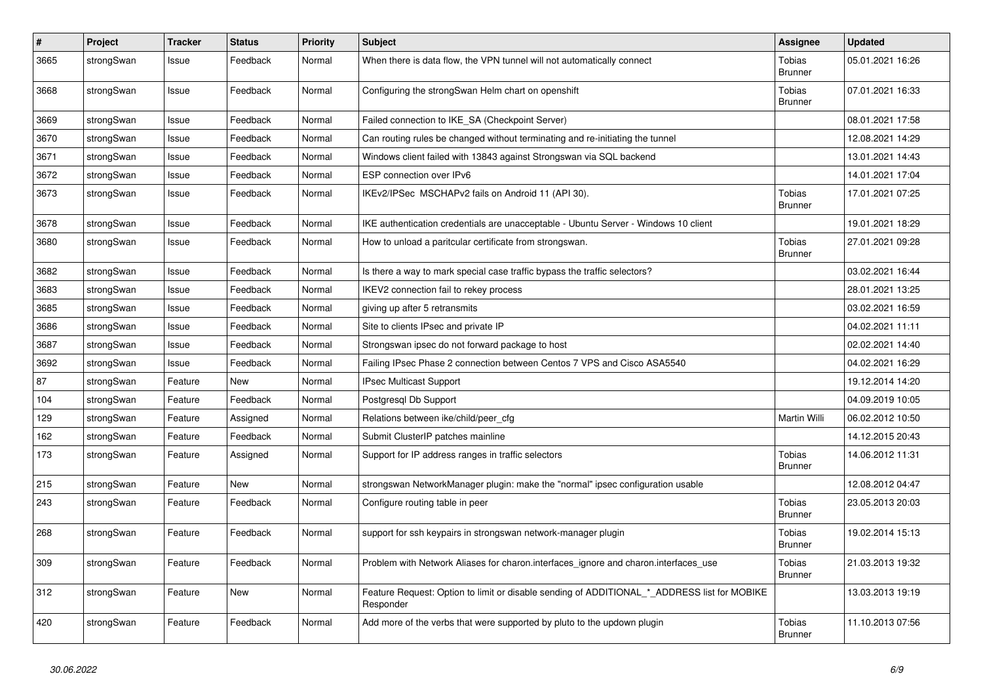| $\pmb{\#}$ | Project    | <b>Tracker</b> | <b>Status</b> | <b>Priority</b> | <b>Subject</b>                                                                                           | Assignee                        | <b>Updated</b>   |
|------------|------------|----------------|---------------|-----------------|----------------------------------------------------------------------------------------------------------|---------------------------------|------------------|
| 3665       | strongSwan | Issue          | Feedback      | Normal          | When there is data flow, the VPN tunnel will not automatically connect                                   | <b>Tobias</b><br><b>Brunner</b> | 05.01.2021 16:26 |
| 3668       | strongSwan | Issue          | Feedback      | Normal          | Configuring the strongSwan Helm chart on openshift                                                       | <b>Tobias</b><br><b>Brunner</b> | 07.01.2021 16:33 |
| 3669       | strongSwan | Issue          | Feedback      | Normal          | Failed connection to IKE_SA (Checkpoint Server)                                                          |                                 | 08.01.2021 17:58 |
| 3670       | strongSwan | Issue          | Feedback      | Normal          | Can routing rules be changed without terminating and re-initiating the tunnel                            |                                 | 12.08.2021 14:29 |
| 3671       | strongSwan | Issue          | Feedback      | Normal          | Windows client failed with 13843 against Strongswan via SQL backend                                      |                                 | 13.01.2021 14:43 |
| 3672       | strongSwan | Issue          | Feedback      | Normal          | ESP connection over IPv6                                                                                 |                                 | 14.01.2021 17:04 |
| 3673       | strongSwan | Issue          | Feedback      | Normal          | IKEv2/IPSec MSCHAPv2 fails on Android 11 (API 30).                                                       | Tobias<br><b>Brunner</b>        | 17.01.2021 07:25 |
| 3678       | strongSwan | Issue          | Feedback      | Normal          | IKE authentication credentials are unacceptable - Ubuntu Server - Windows 10 client                      |                                 | 19.01.2021 18:29 |
| 3680       | strongSwan | Issue          | Feedback      | Normal          | How to unload a paritcular certificate from strongswan.                                                  | <b>Tobias</b><br><b>Brunner</b> | 27.01.2021 09:28 |
| 3682       | strongSwan | Issue          | Feedback      | Normal          | Is there a way to mark special case traffic bypass the traffic selectors?                                |                                 | 03.02.2021 16:44 |
| 3683       | strongSwan | Issue          | Feedback      | Normal          | IKEV2 connection fail to rekey process                                                                   |                                 | 28.01.2021 13:25 |
| 3685       | strongSwan | Issue          | Feedback      | Normal          | giving up after 5 retransmits                                                                            |                                 | 03.02.2021 16:59 |
| 3686       | strongSwan | Issue          | Feedback      | Normal          | Site to clients IPsec and private IP                                                                     |                                 | 04.02.2021 11:11 |
| 3687       | strongSwan | Issue          | Feedback      | Normal          | Strongswan ipsec do not forward package to host                                                          |                                 | 02.02.2021 14:40 |
| 3692       | strongSwan | Issue          | Feedback      | Normal          | Failing IPsec Phase 2 connection between Centos 7 VPS and Cisco ASA5540                                  |                                 | 04.02.2021 16:29 |
| 87         | strongSwan | Feature        | New           | Normal          | <b>IPsec Multicast Support</b>                                                                           |                                 | 19.12.2014 14:20 |
| 104        | strongSwan | Feature        | Feedback      | Normal          | Postgresgl Db Support                                                                                    |                                 | 04.09.2019 10:05 |
| 129        | strongSwan | Feature        | Assigned      | Normal          | Relations between ike/child/peer cfg                                                                     | <b>Martin Willi</b>             | 06.02.2012 10:50 |
| 162        | strongSwan | Feature        | Feedback      | Normal          | Submit ClusterIP patches mainline                                                                        |                                 | 14.12.2015 20:43 |
| 173        | strongSwan | Feature        | Assigned      | Normal          | Support for IP address ranges in traffic selectors                                                       | Tobias<br><b>Brunner</b>        | 14.06.2012 11:31 |
| 215        | strongSwan | Feature        | <b>New</b>    | Normal          | strongswan NetworkManager plugin: make the "normal" ipsec configuration usable                           |                                 | 12.08.2012 04:47 |
| 243        | strongSwan | Feature        | Feedback      | Normal          | Configure routing table in peer                                                                          | <b>Tobias</b><br><b>Brunner</b> | 23.05.2013 20:03 |
| 268        | strongSwan | Feature        | Feedback      | Normal          | support for ssh keypairs in strongswan network-manager plugin                                            | Tobias<br><b>Brunner</b>        | 19.02.2014 15:13 |
| 309        | strongSwan | Feature        | Feedback      | Normal          | Problem with Network Aliases for charon.interfaces_ignore and charon.interfaces_use                      | Tobias<br><b>Brunner</b>        | 21.03.2013 19:32 |
| 312        | strongSwan | Feature        | New           | Normal          | Feature Request: Option to limit or disable sending of ADDITIONAL_*_ADDRESS list for MOBIKE<br>Responder |                                 | 13.03.2013 19:19 |
| 420        | strongSwan | Feature        | Feedback      | Normal          | Add more of the verbs that were supported by pluto to the updown plugin                                  | Tobias<br><b>Brunner</b>        | 11.10.2013 07:56 |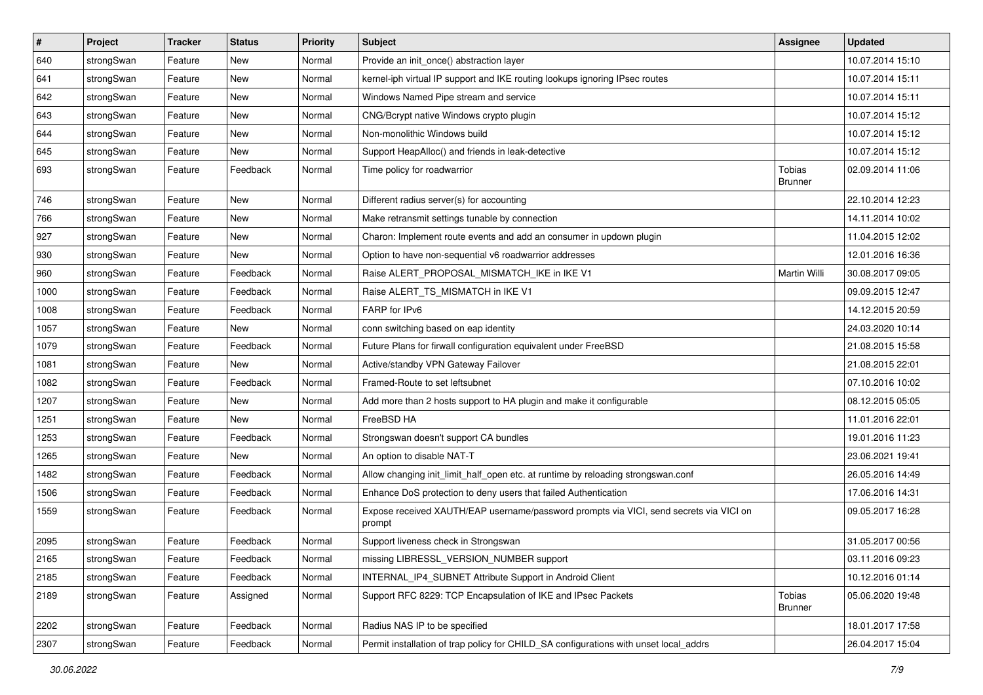| $\vert$ # | Project    | <b>Tracker</b> | <b>Status</b> | <b>Priority</b> | <b>Subject</b>                                                                                   | <b>Assignee</b>          | <b>Updated</b>   |
|-----------|------------|----------------|---------------|-----------------|--------------------------------------------------------------------------------------------------|--------------------------|------------------|
| 640       | strongSwan | Feature        | New           | Normal          | Provide an init_once() abstraction layer                                                         |                          | 10.07.2014 15:10 |
| 641       | strongSwan | Feature        | New           | Normal          | kernel-iph virtual IP support and IKE routing lookups ignoring IPsec routes                      |                          | 10.07.2014 15:11 |
| 642       | strongSwan | Feature        | <b>New</b>    | Normal          | Windows Named Pipe stream and service                                                            |                          | 10.07.2014 15:11 |
| 643       | strongSwan | Feature        | New           | Normal          | CNG/Bcrypt native Windows crypto plugin                                                          |                          | 10.07.2014 15:12 |
| 644       | strongSwan | Feature        | New           | Normal          | Non-monolithic Windows build                                                                     |                          | 10.07.2014 15:12 |
| 645       | strongSwan | Feature        | New           | Normal          | Support HeapAlloc() and friends in leak-detective                                                |                          | 10.07.2014 15:12 |
| 693       | strongSwan | Feature        | Feedback      | Normal          | Time policy for roadwarrior                                                                      | Tobias<br>Brunner        | 02.09.2014 11:06 |
| 746       | strongSwan | Feature        | New           | Normal          | Different radius server(s) for accounting                                                        |                          | 22.10.2014 12:23 |
| 766       | strongSwan | Feature        | <b>New</b>    | Normal          | Make retransmit settings tunable by connection                                                   |                          | 14.11.2014 10:02 |
| 927       | strongSwan | Feature        | <b>New</b>    | Normal          | Charon: Implement route events and add an consumer in updown plugin                              |                          | 11.04.2015 12:02 |
| 930       | strongSwan | Feature        | New           | Normal          | Option to have non-sequential v6 roadwarrior addresses                                           |                          | 12.01.2016 16:36 |
| 960       | strongSwan | Feature        | Feedback      | Normal          | Raise ALERT_PROPOSAL_MISMATCH_IKE in IKE V1                                                      | Martin Willi             | 30.08.2017 09:05 |
| 1000      | strongSwan | Feature        | Feedback      | Normal          | Raise ALERT_TS_MISMATCH in IKE V1                                                                |                          | 09.09.2015 12:47 |
| 1008      | strongSwan | Feature        | Feedback      | Normal          | FARP for IPv6                                                                                    |                          | 14.12.2015 20:59 |
| 1057      | strongSwan | Feature        | New           | Normal          | conn switching based on eap identity                                                             |                          | 24.03.2020 10:14 |
| 1079      | strongSwan | Feature        | Feedback      | Normal          | Future Plans for firwall configuration equivalent under FreeBSD                                  |                          | 21.08.2015 15:58 |
| 1081      | strongSwan | Feature        | New           | Normal          | Active/standby VPN Gateway Failover                                                              |                          | 21.08.2015 22:01 |
| 1082      | strongSwan | Feature        | Feedback      | Normal          | Framed-Route to set leftsubnet                                                                   |                          | 07.10.2016 10:02 |
| 1207      | strongSwan | Feature        | New           | Normal          | Add more than 2 hosts support to HA plugin and make it configurable                              |                          | 08.12.2015 05:05 |
| 1251      | strongSwan | Feature        | New           | Normal          | FreeBSD HA                                                                                       |                          | 11.01.2016 22:01 |
| 1253      | strongSwan | Feature        | Feedback      | Normal          | Strongswan doesn't support CA bundles                                                            |                          | 19.01.2016 11:23 |
| 1265      | strongSwan | Feature        | New           | Normal          | An option to disable NAT-T                                                                       |                          | 23.06.2021 19:41 |
| 1482      | strongSwan | Feature        | Feedback      | Normal          | Allow changing init_limit_half_open etc. at runtime by reloading strongswan.conf                 |                          | 26.05.2016 14:49 |
| 1506      | strongSwan | Feature        | Feedback      | Normal          | Enhance DoS protection to deny users that failed Authentication                                  |                          | 17.06.2016 14:31 |
| 1559      | strongSwan | Feature        | Feedback      | Normal          | Expose received XAUTH/EAP username/password prompts via VICI, send secrets via VICI on<br>prompt |                          | 09.05.2017 16:28 |
| 2095      | strongSwan | Feature        | Feedback      | Normal          | Support liveness check in Strongswan                                                             |                          | 31.05.2017 00:56 |
| 2165      | strongSwan | Feature        | Feedback      | Normal          | missing LIBRESSL_VERSION_NUMBER support                                                          |                          | 03.11.2016 09:23 |
| 2185      | strongSwan | Feature        | Feedback      | Normal          | INTERNAL_IP4_SUBNET Attribute Support in Android Client                                          |                          | 10.12.2016 01:14 |
| 2189      | strongSwan | Feature        | Assigned      | Normal          | Support RFC 8229: TCP Encapsulation of IKE and IPsec Packets                                     | Tobias<br><b>Brunner</b> | 05.06.2020 19:48 |
| 2202      | strongSwan | Feature        | Feedback      | Normal          | Radius NAS IP to be specified                                                                    |                          | 18.01.2017 17:58 |
| 2307      | strongSwan | Feature        | Feedback      | Normal          | Permit installation of trap policy for CHILD_SA configurations with unset local_addrs            |                          | 26.04.2017 15:04 |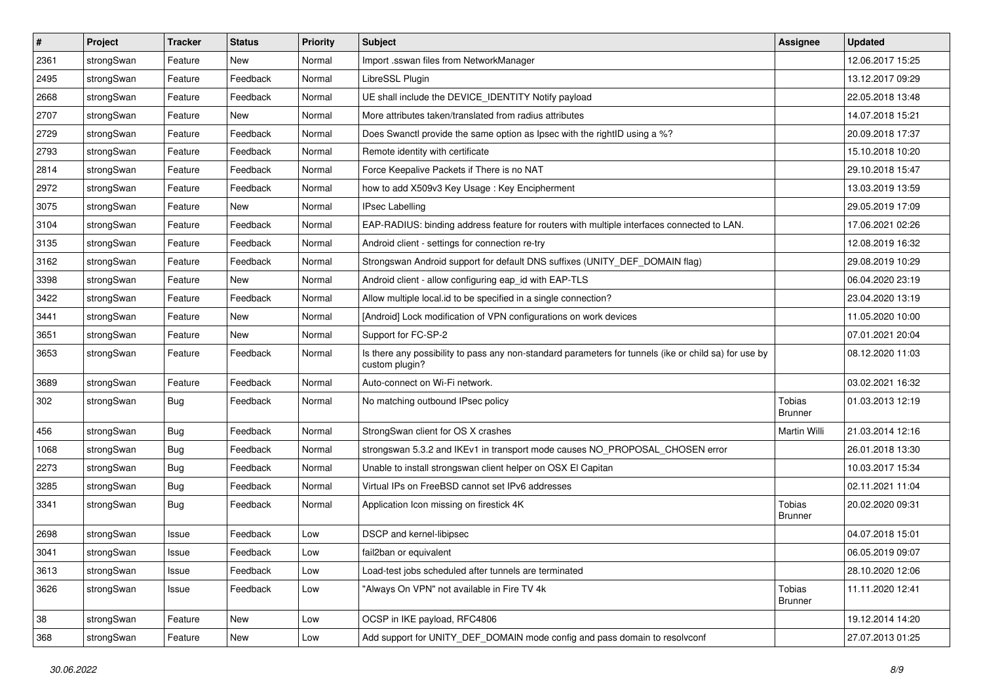| $\sharp$ | Project    | <b>Tracker</b> | <b>Status</b> | <b>Priority</b> | <b>Subject</b>                                                                                                          | <b>Assignee</b>          | <b>Updated</b>   |
|----------|------------|----------------|---------------|-----------------|-------------------------------------------------------------------------------------------------------------------------|--------------------------|------------------|
| 2361     | strongSwan | Feature        | New           | Normal          | Import .sswan files from NetworkManager                                                                                 |                          | 12.06.2017 15:25 |
| 2495     | strongSwan | Feature        | Feedback      | Normal          | LibreSSL Plugin                                                                                                         |                          | 13.12.2017 09:29 |
| 2668     | strongSwan | Feature        | Feedback      | Normal          | UE shall include the DEVICE IDENTITY Notify payload                                                                     |                          | 22.05.2018 13:48 |
| 2707     | strongSwan | Feature        | New           | Normal          | More attributes taken/translated from radius attributes                                                                 |                          | 14.07.2018 15:21 |
| 2729     | strongSwan | Feature        | Feedback      | Normal          | Does Swanctl provide the same option as Ipsec with the rightID using a %?                                               |                          | 20.09.2018 17:37 |
| 2793     | strongSwan | Feature        | Feedback      | Normal          | Remote identity with certificate                                                                                        |                          | 15.10.2018 10:20 |
| 2814     | strongSwan | Feature        | Feedback      | Normal          | Force Keepalive Packets if There is no NAT                                                                              |                          | 29.10.2018 15:47 |
| 2972     | strongSwan | Feature        | Feedback      | Normal          | how to add X509v3 Key Usage: Key Encipherment                                                                           |                          | 13.03.2019 13:59 |
| 3075     | strongSwan | Feature        | New           | Normal          | <b>IPsec Labelling</b>                                                                                                  |                          | 29.05.2019 17:09 |
| 3104     | strongSwan | Feature        | Feedback      | Normal          | EAP-RADIUS: binding address feature for routers with multiple interfaces connected to LAN.                              |                          | 17.06.2021 02:26 |
| 3135     | strongSwan | Feature        | Feedback      | Normal          | Android client - settings for connection re-try                                                                         |                          | 12.08.2019 16:32 |
| 3162     | strongSwan | Feature        | Feedback      | Normal          | Strongswan Android support for default DNS suffixes (UNITY_DEF_DOMAIN flag)                                             |                          | 29.08.2019 10:29 |
| 3398     | strongSwan | Feature        | New           | Normal          | Android client - allow configuring eap_id with EAP-TLS                                                                  |                          | 06.04.2020 23:19 |
| 3422     | strongSwan | Feature        | Feedback      | Normal          | Allow multiple local.id to be specified in a single connection?                                                         |                          | 23.04.2020 13:19 |
| 3441     | strongSwan | Feature        | <b>New</b>    | Normal          | [Android] Lock modification of VPN configurations on work devices                                                       |                          | 11.05.2020 10:00 |
| 3651     | strongSwan | Feature        | <b>New</b>    | Normal          | Support for FC-SP-2                                                                                                     |                          | 07.01.2021 20:04 |
| 3653     | strongSwan | Feature        | Feedback      | Normal          | Is there any possibility to pass any non-standard parameters for tunnels (ike or child sa) for use by<br>custom plugin? |                          | 08.12.2020 11:03 |
| 3689     | strongSwan | Feature        | Feedback      | Normal          | Auto-connect on Wi-Fi network.                                                                                          |                          | 03.02.2021 16:32 |
| 302      | strongSwan | <b>Bug</b>     | Feedback      | Normal          | No matching outbound IPsec policy                                                                                       | Tobias<br><b>Brunner</b> | 01.03.2013 12:19 |
| 456      | strongSwan | <b>Bug</b>     | Feedback      | Normal          | StrongSwan client for OS X crashes                                                                                      | Martin Willi             | 21.03.2014 12:16 |
| 1068     | strongSwan | <b>Bug</b>     | Feedback      | Normal          | strongswan 5.3.2 and IKEv1 in transport mode causes NO_PROPOSAL_CHOSEN error                                            |                          | 26.01.2018 13:30 |
| 2273     | strongSwan | Bug            | Feedback      | Normal          | Unable to install strongswan client helper on OSX El Capitan                                                            |                          | 10.03.2017 15:34 |
| 3285     | strongSwan | Bug            | Feedback      | Normal          | Virtual IPs on FreeBSD cannot set IPv6 addresses                                                                        |                          | 02.11.2021 11:04 |
| 3341     | strongSwan | <b>Bug</b>     | Feedback      | Normal          | Application Icon missing on firestick 4K                                                                                | Tobias<br><b>Brunner</b> | 20.02.2020 09:31 |
| 2698     | strongSwan | Issue          | Feedback      | Low             | DSCP and kernel-libipsec                                                                                                |                          | 04.07.2018 15:01 |
| 3041     | strongSwan | Issue          | Feedback      | Low             | fail2ban or equivalent                                                                                                  |                          | 06.05.2019 09:07 |
| 3613     | strongSwan | Issue          | Feedback      | Low             | Load-test jobs scheduled after tunnels are terminated                                                                   |                          | 28.10.2020 12:06 |
| 3626     | strongSwan | Issue          | Feedback      | Low             | "Always On VPN" not available in Fire TV 4k                                                                             | Tobias<br><b>Brunner</b> | 11.11.2020 12:41 |
| 38       | strongSwan | Feature        | New           | Low             | OCSP in IKE payload, RFC4806                                                                                            |                          | 19.12.2014 14:20 |
| 368      | strongSwan | Feature        | New           | Low             | Add support for UNITY_DEF_DOMAIN mode config and pass domain to resolveonf                                              |                          | 27.07.2013 01:25 |